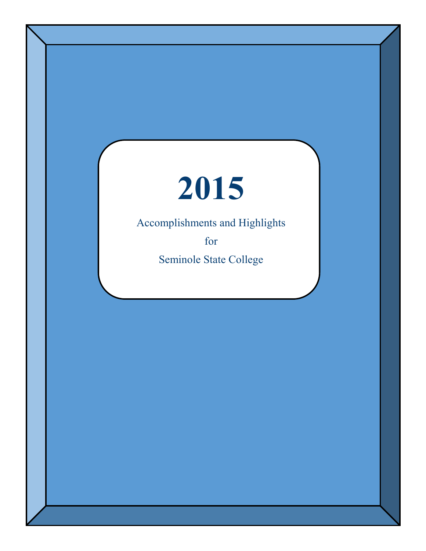# **2015**

Accomplishments and Highlights

for

Seminole State College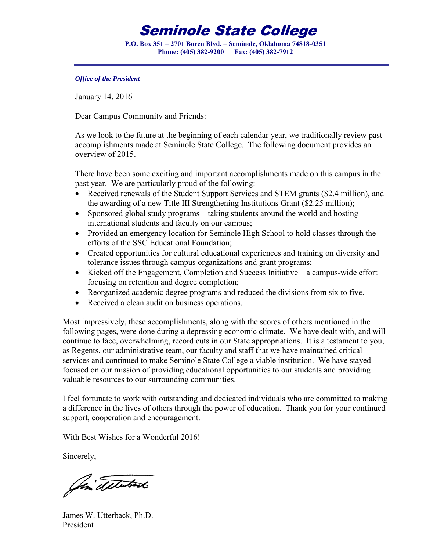### Seminole State College

**P.O. Box 351 – 2701 Boren Blvd. – Seminole, Oklahoma 74818-0351 Phone: (405) 382-9200 Fax: (405) 382-7912** 

*Office of the President* 

January 14, 2016

Dear Campus Community and Friends:

As we look to the future at the beginning of each calendar year, we traditionally review past accomplishments made at Seminole State College. The following document provides an overview of 2015.

There have been some exciting and important accomplishments made on this campus in the past year. We are particularly proud of the following:

- Received renewals of the Student Support Services and STEM grants (\$2.4 million), and the awarding of a new Title III Strengthening Institutions Grant (\$2.25 million);
- Sponsored global study programs taking students around the world and hosting international students and faculty on our campus;
- Provided an emergency location for Seminole High School to hold classes through the efforts of the SSC Educational Foundation;
- Created opportunities for cultural educational experiences and training on diversity and tolerance issues through campus organizations and grant programs;
- Kicked off the Engagement, Completion and Success Initiative a campus-wide effort focusing on retention and degree completion;
- Reorganized academic degree programs and reduced the divisions from six to five.
- Received a clean audit on business operations.

Most impressively, these accomplishments, along with the scores of others mentioned in the following pages, were done during a depressing economic climate. We have dealt with, and will continue to face, overwhelming, record cuts in our State appropriations. It is a testament to you, as Regents, our administrative team, our faculty and staff that we have maintained critical services and continued to make Seminole State College a viable institution. We have stayed focused on our mission of providing educational opportunities to our students and providing valuable resources to our surrounding communities.

I feel fortunate to work with outstanding and dedicated individuals who are committed to making a difference in the lives of others through the power of education. Thank you for your continued support, cooperation and encouragement.

With Best Wishes for a Wonderful 2016!

Sincerely,

Jim Telestants

James W. Utterback, Ph.D. President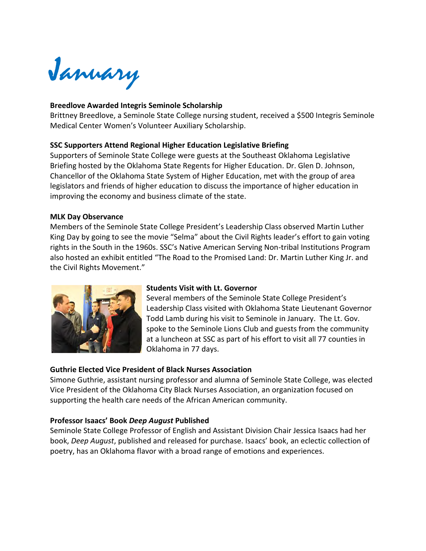January

#### **Breedlove Awarded Integris Seminole Scholarship**

Brittney Breedlove, a Seminole State College nursing student, received a \$500 Integris Seminole Medical Center Women's Volunteer Auxiliary Scholarship.

#### **SSC Supporters Attend Regional Higher Education Legislative Briefing**

Supporters of Seminole State College were guests at the Southeast Oklahoma Legislative Briefing hosted by the Oklahoma State Regents for Higher Education. Dr. Glen D. Johnson, Chancellor of the Oklahoma State System of Higher Education, met with the group of area legislators and friends of higher education to discuss the importance of higher education in improving the economy and business climate of the state.

#### **MLK Day Observance**

Members of the Seminole State College President's Leadership Class observed Martin Luther King Day by going to see the movie "Selma" about the Civil Rights leader's effort to gain voting rights in the South in the 1960s. SSC's Native American Serving Non-tribal Institutions Program also hosted an exhibit entitled "The Road to the Promised Land: Dr. Martin Luther King Jr. and the Civil Rights Movement."



#### **Students Visit with Lt. Governor**

Several members of the Seminole State College President's Leadership Class visited with Oklahoma State Lieutenant Governor Todd Lamb during his visit to Seminole in January. The Lt. Gov. spoke to the Seminole Lions Club and guests from the community at a luncheon at SSC as part of his effort to visit all 77 counties in Oklahoma in 77 days.

#### **Guthrie Elected Vice President of Black Nurses Association**

Simone Guthrie, assistant nursing professor and alumna of Seminole State College, was elected Vice President of the Oklahoma City Black Nurses Association, an organization focused on supporting the health care needs of the African American community.

#### **Professor Isaacs' Book** *Deep August* **Published**

Seminole State College Professor of English and Assistant Division Chair Jessica Isaacs had her book, *Deep August*, published and released for purchase. Isaacs' book, an eclectic collection of poetry, has an Oklahoma flavor with a broad range of emotions and experiences.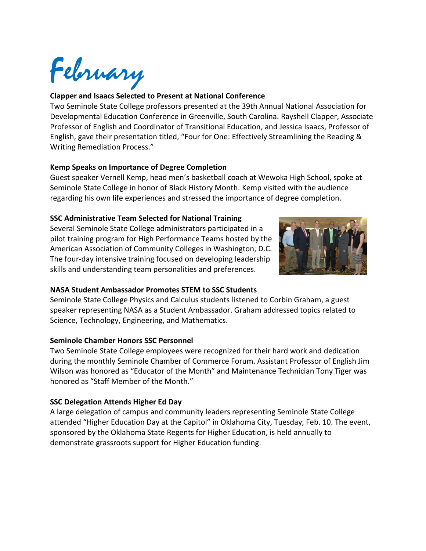February

#### **Clapper and Isaacs Selected to Present at National Conference**

Two Seminole State College professors presented at the 39th Annual National Association for Developmental Education Conference in Greenville, South Carolina. Rayshell Clapper, Associate Professor of English and Coordinator of Transitional Education, and Jessica Isaacs, Professor of English, gave their presentation titled, "Four for One: Effectively Streamlining the Reading & Writing Remediation Process."

#### **Kemp Speaks on Importance of Degree Completion**

Guest speaker Vernell Kemp, head men's basketball coach at Wewoka High School, spoke at Seminole State College in honor of Black History Month. Kemp visited with the audience regarding his own life experiences and stressed the importance of degree completion.

#### **SSC Administrative Team Selected for National Training**

Several Seminole State College administrators participated in a pilot training program for High Performance Teams hosted by the American Association of Community Colleges in Washington, D.C. The four-day intensive training focused on developing leadership skills and understanding team personalities and preferences.



#### **NASA Student Ambassador Promotes STEM to SSC Students**

Seminole State College Physics and Calculus students listened to Corbin Graham, a guest speaker representing NASA as a Student Ambassador. Graham addressed topics related to Science, Technology, Engineering, and Mathematics.

#### **Seminole Chamber Honors SSC Personnel**

Two Seminole State College employees were recognized for their hard work and dedication during the monthly Seminole Chamber of Commerce Forum. Assistant Professor of English Jim Wilson was honored as "Educator of the Month" and Maintenance Technician Tony Tiger was honored as "Staff Member of the Month."

#### **SSC Delegation Attends Higher Ed Day**

A large delegation of campus and community leaders representing Seminole State College attended "Higher Education Day at the Capitol" in Oklahoma City, Tuesday, Feb. 10. The event, sponsored by the Oklahoma State Regents for Higher Education, is held annually to demonstrate grassroots support for Higher Education funding.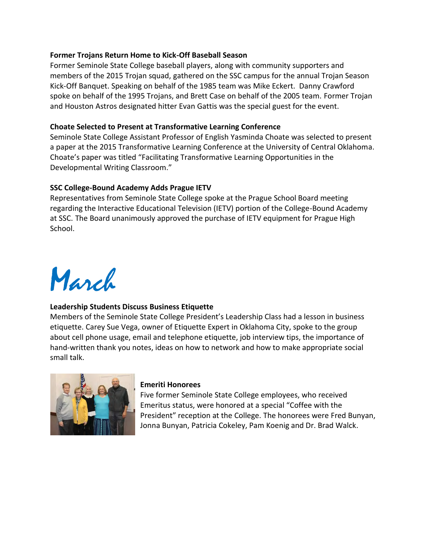#### **Former Trojans Return Home to Kick-Off Baseball Season**

Former Seminole State College baseball players, along with community supporters and members of the 2015 Trojan squad, gathered on the SSC campus for the annual Trojan Season Kick-Off Banquet. Speaking on behalf of the 1985 team was Mike Eckert. Danny Crawford spoke on behalf of the 1995 Trojans, and Brett Case on behalf of the 2005 team. Former Trojan and Houston Astros designated hitter Evan Gattis was the special guest for the event.

#### **Choate Selected to Present at Transformative Learning Conference**

Seminole State College Assistant Professor of English Yasminda Choate was selected to present a paper at the 2015 Transformative Learning Conference at the University of Central Oklahoma. Choate's paper was titled "Facilitating Transformative Learning Opportunities in the Developmental Writing Classroom."

#### **SSC College-Bound Academy Adds Prague IETV**

Representatives from Seminole State College spoke at the Prague School Board meeting regarding the Interactive Educational Television (IETV) portion of the College-Bound Academy at SSC. The Board unanimously approved the purchase of IETV equipment for Prague High School.

## March

#### **Leadership Students Discuss Business Etiquette**

Members of the Seminole State College President's Leadership Class had a lesson in business etiquette. Carey Sue Vega, owner of Etiquette Expert in Oklahoma City, spoke to the group about cell phone usage, email and telephone etiquette, job interview tips, the importance of hand-written thank you notes, ideas on how to network and how to make appropriate social small talk.



#### **Emeriti Honorees**

Five former Seminole State College employees, who received Emeritus status, were honored at a special "Coffee with the President" reception at the College. The honorees were Fred Bunyan, Jonna Bunyan, Patricia Cokeley, Pam Koenig and Dr. Brad Walck.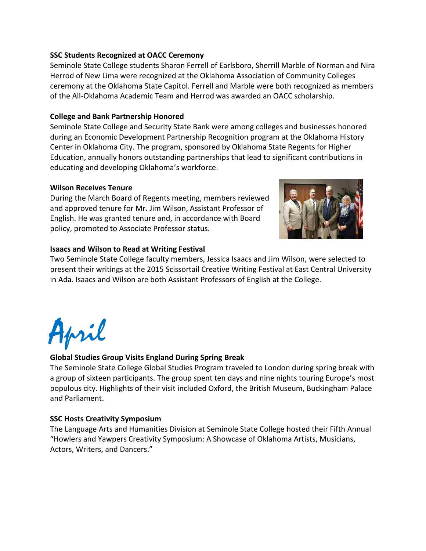#### **SSC Students Recognized at OACC Ceremony**

Seminole State College students Sharon Ferrell of Earlsboro, Sherrill Marble of Norman and Nira Herrod of New Lima were recognized at the Oklahoma Association of Community Colleges ceremony at the Oklahoma State Capitol. Ferrell and Marble were both recognized as members of the All-Oklahoma Academic Team and Herrod was awarded an OACC scholarship.

#### **College and Bank Partnership Honored**

Seminole State College and Security State Bank were among colleges and businesses honored during an Economic Development Partnership Recognition program at the Oklahoma History Center in Oklahoma City. The program, sponsored by Oklahoma State Regents for Higher Education, annually honors outstanding partnerships that lead to significant contributions in educating and developing Oklahoma's workforce.

#### **Wilson Receives Tenure**

During the March Board of Regents meeting, members reviewed and approved tenure for Mr. Jim Wilson, Assistant Professor of English. He was granted tenure and, in accordance with Board policy, promoted to Associate Professor status.



#### **Isaacs and Wilson to Read at Writing Festival**

Two Seminole State College faculty members, Jessica Isaacs and Jim Wilson, were selected to present their writings at the 2015 Scissortail Creative Writing Festival at East Central University in Ada. Isaacs and Wilson are both Assistant Professors of English at the College.



#### **Global Studies Group Visits England During Spring Break**

The Seminole State College Global Studies Program traveled to London during spring break with a group of sixteen participants. The group spent ten days and nine nights touring Europe's most populous city. Highlights of their visit included Oxford, the British Museum, Buckingham Palace and Parliament.

#### **SSC Hosts Creativity Symposium**

The Language Arts and Humanities Division at Seminole State College hosted their Fifth Annual "Howlers and Yawpers Creativity Symposium: A Showcase of Oklahoma Artists, Musicians, Actors, Writers, and Dancers."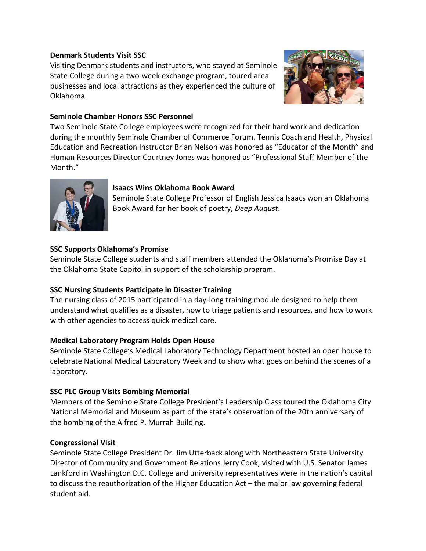#### **Denmark Students Visit SSC**

Visiting Denmark students and instructors, who stayed at Seminole State College during a two-week exchange program, toured area businesses and local attractions as they experienced the culture of Oklahoma.



#### **Seminole Chamber Honors SSC Personnel**

Two Seminole State College employees were recognized for their hard work and dedication during the monthly Seminole Chamber of Commerce Forum. Tennis Coach and Health, Physical Education and Recreation Instructor Brian Nelson was honored as "Educator of the Month" and Human Resources Director Courtney Jones was honored as "Professional Staff Member of the Month."



#### **Isaacs Wins Oklahoma Book Award**

Seminole State College Professor of English Jessica Isaacs won an Oklahoma Book Award for her book of poetry, *Deep August*.

#### **SSC Supports Oklahoma's Promise**

Seminole State College students and staff members attended the Oklahoma's Promise Day at the Oklahoma State Capitol in support of the scholarship program.

#### **SSC Nursing Students Participate in Disaster Training**

The nursing class of 2015 participated in a day-long training module designed to help them understand what qualifies as a disaster, how to triage patients and resources, and how to work with other agencies to access quick medical care.

#### **Medical Laboratory Program Holds Open House**

Seminole State College's Medical Laboratory Technology Department hosted an open house to celebrate National Medical Laboratory Week and to show what goes on behind the scenes of a laboratory.

#### **SSC PLC Group Visits Bombing Memorial**

Members of the Seminole State College President's Leadership Class toured the Oklahoma City National Memorial and Museum as part of the state's observation of the 20th anniversary of the bombing of the Alfred P. Murrah Building.

#### **Congressional Visit**

Seminole State College President Dr. Jim Utterback along with Northeastern State University Director of Community and Government Relations Jerry Cook, visited with U.S. Senator James Lankford in Washington D.C. College and university representatives were in the nation's capital to discuss the reauthorization of the Higher Education Act – the major law governing federal student aid.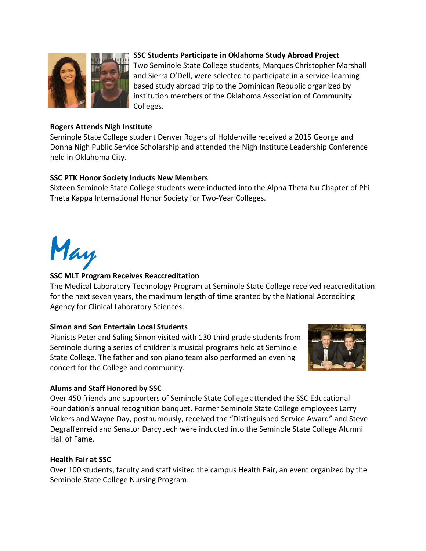

#### **SSC Students Participate in Oklahoma Study Abroad Project**

Two Seminole State College students, Marques Christopher Marshall and Sierra O'Dell, were selected to participate in a service-learning based study abroad trip to the Dominican Republic organized by institution members of the Oklahoma Association of Community Colleges.

#### **Rogers Attends Nigh Institute**

Seminole State College student Denver Rogers of Holdenville received a 2015 George and Donna Nigh Public Service Scholarship and attended the Nigh Institute Leadership Conference held in Oklahoma City.

#### **SSC PTK Honor Society Inducts New Members**

Sixteen Seminole State College students were inducted into the Alpha Theta Nu Chapter of Phi Theta Kappa International Honor Society for Two-Year Colleges.

May

#### **SSC MLT Program Receives Reaccreditation**

The Medical Laboratory Technology Program at Seminole State College received reaccreditation for the next seven years, the maximum length of time granted by the National Accrediting Agency for Clinical Laboratory Sciences.

#### **Simon and Son Entertain Local Students**

Pianists Peter and Saling Simon visited with 130 third grade students from Seminole during a series of children's musical programs held at Seminole State College. The father and son piano team also performed an evening concert for the College and community.



#### **Alums and Staff Honored by SSC**

Over 450 friends and supporters of Seminole State College attended the SSC Educational Foundation's annual recognition banquet. Former Seminole State College employees Larry Vickers and Wayne Day, posthumously, received the "Distinguished Service Award" and Steve Degraffenreid and Senator Darcy Jech were inducted into the Seminole State College Alumni Hall of Fame.

#### **Health Fair at SSC**

Over 100 students, faculty and staff visited the campus Health Fair, an event organized by the Seminole State College Nursing Program.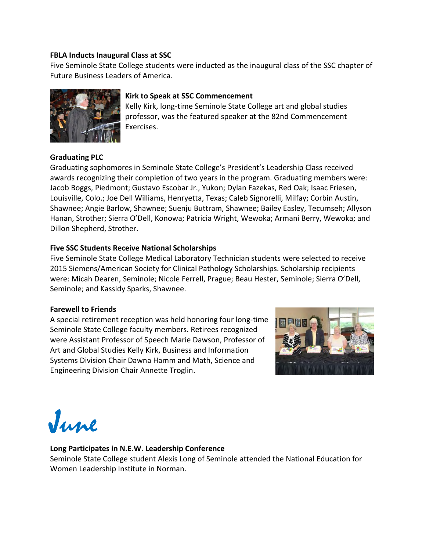#### **FBLA Inducts Inaugural Class at SSC**

Five Seminole State College students were inducted as the inaugural class of the SSC chapter of Future Business Leaders of America.



#### **Kirk to Speak at SSC Commencement**

Kelly Kirk, long-time Seminole State College art and global studies professor, was the featured speaker at the 82nd Commencement Exercises.

#### **Graduating PLC**

Graduating sophomores in Seminole State College's President's Leadership Class received awards recognizing their completion of two years in the program. Graduating members were: Jacob Boggs, Piedmont; Gustavo Escobar Jr., Yukon; Dylan Fazekas, Red Oak; Isaac Friesen, Louisville, Colo.; Joe Dell Williams, Henryetta, Texas; Caleb Signorelli, Milfay; Corbin Austin, Shawnee; Angie Barlow, Shawnee; Suenju Buttram, Shawnee; Bailey Easley, Tecumseh; Allyson Hanan, Strother; Sierra O'Dell, Konowa; Patricia Wright, Wewoka; Armani Berry, Wewoka; and Dillon Shepherd, Strother.

#### **Five SSC Students Receive National Scholarships**

Five Seminole State College Medical Laboratory Technician students were selected to receive 2015 Siemens/American Society for Clinical Pathology Scholarships. Scholarship recipients were: Micah Dearen, Seminole; Nicole Ferrell, Prague; Beau Hester, Seminole; Sierra O'Dell, Seminole; and Kassidy Sparks, Shawnee.

#### **Farewell to Friends**

A special retirement reception was held honoring four long-time Seminole State College faculty members. Retirees recognized were Assistant Professor of Speech Marie Dawson, Professor of Art and Global Studies Kelly Kirk, Business and Information Systems Division Chair Dawna Hamm and Math, Science and Engineering Division Chair Annette Troglin.



June

#### **Long Participates in N.E.W. Leadership Conference**

Seminole State College student Alexis Long of Seminole attended the National Education for Women Leadership Institute in Norman.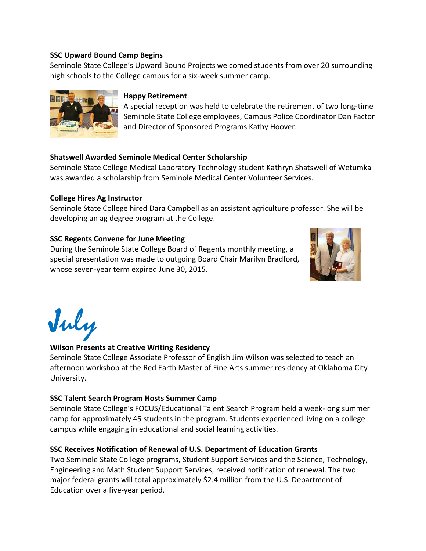#### **SSC Upward Bound Camp Begins**

Seminole State College's Upward Bound Projects welcomed students from over 20 surrounding high schools to the College campus for a six-week summer camp.



#### **Happy Retirement**

A special reception was held to celebrate the retirement of two long-time Seminole State College employees, Campus Police Coordinator Dan Factor and Director of Sponsored Programs Kathy Hoover.

#### **Shatswell Awarded Seminole Medical Center Scholarship**

Seminole State College Medical Laboratory Technology student Kathryn Shatswell of Wetumka was awarded a scholarship from Seminole Medical Center Volunteer Services.

#### **College Hires Ag Instructor**

Seminole State College hired Dara Campbell as an assistant agriculture professor. She will be developing an ag degree program at the College.

#### **SSC Regents Convene for June Meeting**

During the Seminole State College Board of Regents monthly meeting, a special presentation was made to outgoing Board Chair Marilyn Bradford, whose seven-year term expired June 30, 2015.





#### **Wilson Presents at Creative Writing Residency**

Seminole State College Associate Professor of English Jim Wilson was selected to teach an afternoon workshop at the Red Earth Master of Fine Arts summer residency at Oklahoma City University.

#### **SSC Talent Search Program Hosts Summer Camp**

Seminole State College's FOCUS/Educational Talent Search Program held a week-long summer camp for approximately 45 students in the program. Students experienced living on a college campus while engaging in educational and social learning activities.

#### **SSC Receives Notification of Renewal of U.S. Department of Education Grants**

Two Seminole State College programs, Student Support Services and the Science, Technology, Engineering and Math Student Support Services, received notification of renewal. The two major federal grants will total approximately \$2.4 million from the U.S. Department of Education over a five-year period.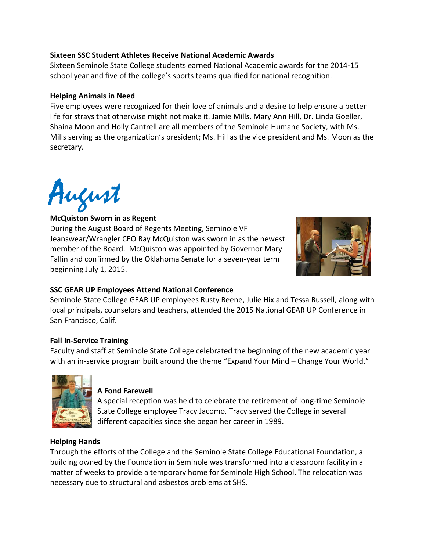#### **Sixteen SSC Student Athletes Receive National Academic Awards**

Sixteen Seminole State College students earned National Academic awards for the 2014-15 school year and five of the college's sports teams qualified for national recognition.

#### **Helping Animals in Need**

Five employees were recognized for their love of animals and a desire to help ensure a better life for strays that otherwise might not make it. Jamie Mills, Mary Ann Hill, Dr. Linda Goeller, Shaina Moon and Holly Cantrell are all members of the Seminole Humane Society, with Ms. Mills serving as the organization's president; Ms. Hill as the vice president and Ms. Moon as the secretary.

August **McQuiston Sworn in as Regent**<br>During the August Board of Begen

During the August Board of Regents Meeting, Seminole VF Jeanswear/Wrangler CEO Ray McQuiston was sworn in as the newest member of the Board. McQuiston was appointed by Governor Mary Fallin and confirmed by the Oklahoma Senate for a seven-year term beginning July 1, 2015.



#### **SSC GEAR UP Employees Attend National Conference**

Seminole State College GEAR UP employees Rusty Beene, Julie Hix and Tessa Russell, along with local principals, counselors and teachers, attended the 2015 National GEAR UP Conference in San Francisco, Calif.

#### **Fall In-Service Training**

Faculty and staff at Seminole State College celebrated the beginning of the new academic year with an in-service program built around the theme "Expand Your Mind - Change Your World."



#### **A Fond Farewell**

A special reception was held to celebrate the retirement of long-time Seminole State College employee Tracy Jacomo. Tracy served the College in several different capacities since she began her career in 1989.

#### **Helping Hands**

Through the efforts of the College and the Seminole State College Educational Foundation, a building owned by the Foundation in Seminole was transformed into a classroom facility in a matter of weeks to provide a temporary home for Seminole High School. The relocation was necessary due to structural and asbestos problems at SHS.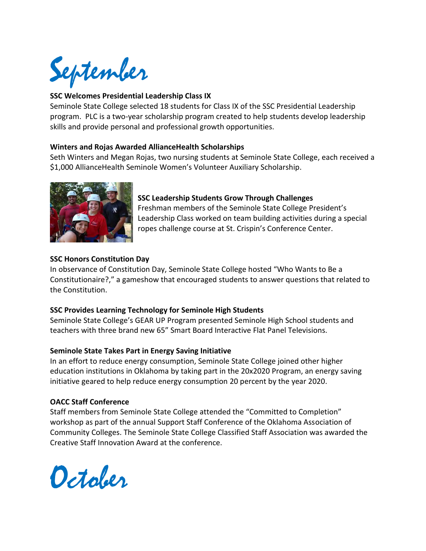September

#### **SSC Welcomes Presidential Leadership Class IX**

Seminole State College selected 18 students for Class IX of the SSC Presidential Leadership program. PLC is a two-year scholarship program created to help students develop leadership skills and provide personal and professional growth opportunities.

#### **Winters and Rojas Awarded AllianceHealth Scholarships**

Seth Winters and Megan Rojas, two nursing students at Seminole State College, each received a \$1,000 AllianceHealth Seminole Women's Volunteer Auxiliary Scholarship.



#### **SSC Leadership Students Grow Through Challenges**

Freshman members of the Seminole State College President's Leadership Class worked on team building activities during a special ropes challenge course at St. Crispin's Conference Center.

#### **SSC Honors Constitution Day**

In observance of Constitution Day, Seminole State College hosted "Who Wants to Be a Constitutionaire?," a gameshow that encouraged students to answer questions that related to the Constitution.

#### **SSC Provides Learning Technology for Seminole High Students**

Seminole State College's GEAR UP Program presented Seminole High School students and teachers with three brand new 65" Smart Board Interactive Flat Panel Televisions.

#### **Seminole State Takes Part in Energy Saving Initiative**

In an effort to reduce energy consumption, Seminole State College joined other higher education institutions in Oklahoma by taking part in the 20x2020 Program, an energy saving initiative geared to help reduce energy consumption 20 percent by the year 2020.

#### **OACC Staff Conference**

Staff members from Seminole State College attended the "Committed to Completion" workshop as part of the annual Support Staff Conference of the Oklahoma Association of Community Colleges. The Seminole State College Classified Staff Association was awarded the Creative Staff Innovation Award at the conference.

October.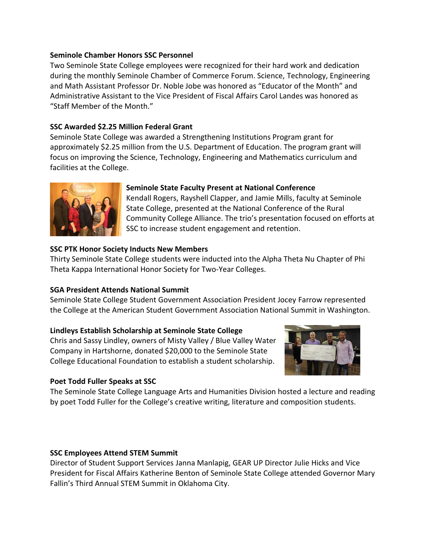#### **Seminole Chamber Honors SSC Personnel**

Two Seminole State College employees were recognized for their hard work and dedication during the monthly Seminole Chamber of Commerce Forum. Science, Technology, Engineering and Math Assistant Professor Dr. Noble Jobe was honored as "Educator of the Month" and Administrative Assistant to the Vice President of Fiscal Affairs Carol Landes was honored as "Staff Member of the Month."

#### **SSC Awarded \$2.25 Million Federal Grant**

Seminole State College was awarded a Strengthening Institutions Program grant for approximately \$2.25 million from the U.S. Department of Education. The program grant will focus on improving the Science, Technology, Engineering and Mathematics curriculum and facilities at the College.



#### **Seminole State Faculty Present at National Conference**

Kendall Rogers, Rayshell Clapper, and Jamie Mills, faculty at Seminole State College, presented at the National Conference of the Rural Community College Alliance. The trio's presentation focused on efforts at SSC to increase student engagement and retention.

#### **SSC PTK Honor Society Inducts New Members**

Thirty Seminole State College students were inducted into the Alpha Theta Nu Chapter of Phi Theta Kappa International Honor Society for Two-Year Colleges.

#### **SGA President Attends National Summit**

Seminole State College Student Government Association President Jocey Farrow represented the College at the American Student Government Association National Summit in Washington.

#### **Lindleys Establish Scholarship at Seminole State College**

Chris and Sassy Lindley, owners of Misty Valley / Blue Valley Water Company in Hartshorne, donated \$20,000 to the Seminole State College Educational Foundation to establish a student scholarship.



#### **Poet Todd Fuller Speaks at SSC**

The Seminole State College Language Arts and Humanities Division hosted a lecture and reading by poet Todd Fuller for the College's creative writing, literature and composition students.

#### **SSC Employees Attend STEM Summit**

Director of Student Support Services Janna Manlapig, GEAR UP Director Julie Hicks and Vice President for Fiscal Affairs Katherine Benton of Seminole State College attended Governor Mary Fallin's Third Annual STEM Summit in Oklahoma City.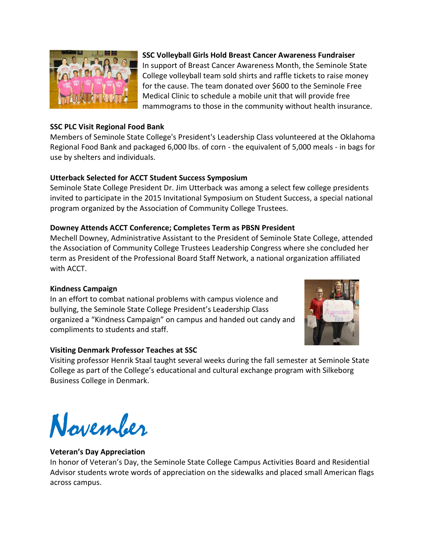

#### **SSC PLC Visit Regional Food Bank**

**SSC Volleyball Girls Hold Breast Cancer Awareness Fundraiser** 

In support of Breast Cancer Awareness Month, the Seminole State College volleyball team sold shirts and raffle tickets to raise money for the cause. The team donated over \$600 to the Seminole Free Medical Clinic to schedule a mobile unit that will provide free mammograms to those in the community without health insurance.

Members of Seminole State College's President's Leadership Class volunteered at the Oklahoma Regional Food Bank and packaged 6,000 lbs. of corn - the equivalent of 5,000 meals - in bags for use by shelters and individuals.

#### **Utterback Selected for ACCT Student Success Symposium**

Seminole State College President Dr. Jim Utterback was among a select few college presidents invited to participate in the 2015 Invitational Symposium on Student Success, a special national program organized by the Association of Community College Trustees.

#### **Downey Attends ACCT Conference; Completes Term as PBSN President**

Mechell Downey, Administrative Assistant to the President of Seminole State College, attended the Association of Community College Trustees Leadership Congress where she concluded her term as President of the Professional Board Staff Network, a national organization affiliated with ACCT.

#### **Kindness Campaign**

In an effort to combat national problems with campus violence and bullying, the Seminole State College President's Leadership Class organized a "Kindness Campaign" on campus and handed out candy and compliments to students and staff.



#### **Visiting Denmark Professor Teaches at SSC**

Visiting professor Henrik Staal taught several weeks during the fall semester at Seminole State College as part of the College's educational and cultural exchange program with Silkeborg Business College in Denmark.

November

#### **Veteran's Day Appreciation**

In honor of Veteran's Day, the Seminole State College Campus Activities Board and Residential Advisor students wrote words of appreciation on the sidewalks and placed small American flags across campus.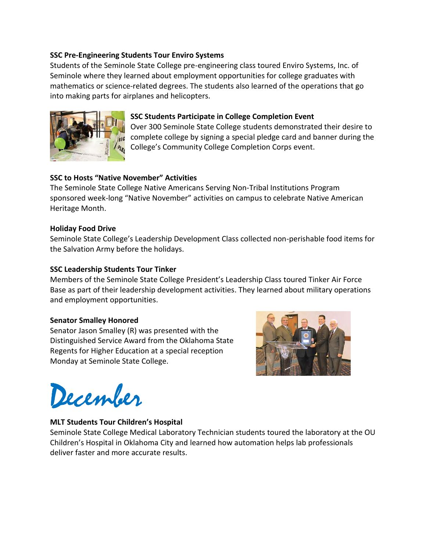#### **SSC Pre-Engineering Students Tour Enviro Systems**

Students of the Seminole State College pre-engineering class toured Enviro Systems, Inc. of Seminole where they learned about employment opportunities for college graduates with mathematics or science-related degrees. The students also learned of the operations that go into making parts for airplanes and helicopters.



#### **SSC Students Participate in College Completion Event**

Over 300 Seminole State College students demonstrated their desire to complete college by signing a special pledge card and banner during the College's Community College Completion Corps event.

#### **SSC to Hosts "Native November" Activities**

The Seminole State College Native Americans Serving Non-Tribal Institutions Program sponsored week-long "Native November" activities on campus to celebrate Native American Heritage Month.

#### **Holiday Food Drive**

Seminole State College's Leadership Development Class collected non-perishable food items for the Salvation Army before the holidays.

#### **SSC Leadership Students Tour Tinker**

Members of the Seminole State College President's Leadership Class toured Tinker Air Force Base as part of their leadership development activities. They learned about military operations and employment opportunities.

#### **Senator Smalley Honored**

Senator Jason Smalley (R) was presented with the Distinguished Service Award from the Oklahoma State Regents for Higher Education at a special reception Monday at Seminole State College.



December

#### **MLT Students Tour Children's Hospital**

Seminole State College Medical Laboratory Technician students toured the laboratory at the OU Children's Hospital in Oklahoma City and learned how automation helps lab professionals deliver faster and more accurate results.